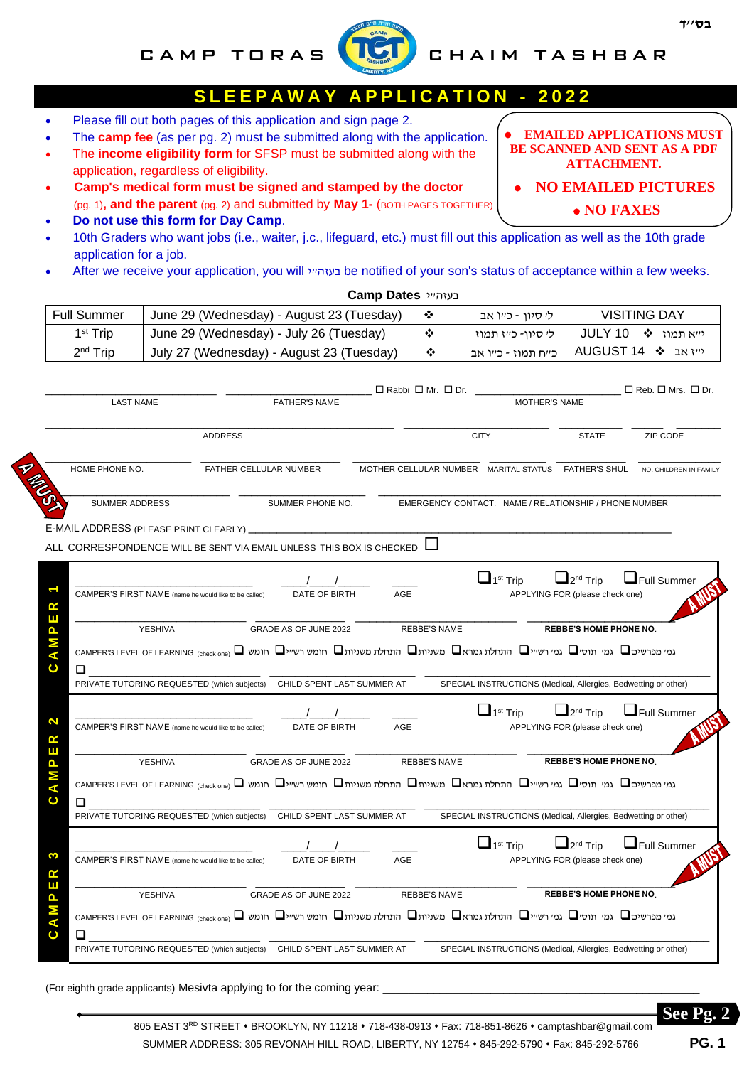### CAMP TORAS **WELL** CHAIM TASHBAR

# **S L E E P A W A Y A P P L I C A T I O N - 2 0 2 2**

- Ξ • Please fill out both pages of this application and sign page 2.
- The **camp fee** (as per pg. 2) must be submitted along with the application.
- The **income eligibility form** for SFSP must be submitted along with the application, regardless of eligibility.
- **Camp's medical form must be signed and stamped by the doctor** (pg. 1)**, and the parent** (pg. 2) and submitted by **May 1-** (BOTH PAGES TOGETHER)
- **Do not use this form for Day Camp**.
- 10th Graders who want jobs (i.e., waiter, j.c., lifeguard, etc.) must fill out this application as well as the 10th grade application for a job.
- After we receive your application, you will בעזה" be notified of your son's status of acceptance within a few weeks.

|                   |                       |                                                                                                                                                                                                       |                                        | בעזה״י Camp Dates |                     |                                                                                               |                                                                                  |                                    |
|-------------------|-----------------------|-------------------------------------------------------------------------------------------------------------------------------------------------------------------------------------------------------|----------------------------------------|-------------------|---------------------|-----------------------------------------------------------------------------------------------|----------------------------------------------------------------------------------|------------------------------------|
|                   | <b>Full Summer</b>    | June 29 (Wednesday) - August 23 (Tuesday)                                                                                                                                                             |                                        |                   | ❖                   | לי סיון - כייו אב                                                                             |                                                                                  | <b>VISITING DAY</b>                |
|                   | 1 <sup>st</sup> Trip  | June 29 (Wednesday) - July 26 (Tuesday)                                                                                                                                                               |                                        |                   | ❖                   | לי סיון- כייז תמוז                                                                            | JULY 10                                                                          | י״א תמוז ❖                         |
|                   | 2 <sup>nd</sup> Trip  | July 27 (Wednesday) - August 23 (Tuesday)                                                                                                                                                             |                                        |                   | ❖                   | כייח תמוז - כייו אב                                                                           |                                                                                  | AUGUST 14 � אב AUGUST 14           |
|                   | <b>LAST NAME</b>      |                                                                                                                                                                                                       | <b>FATHER'S NAME</b>                   |                   |                     | $\Box$ Rabbi $\Box$ Mr. $\Box$ Dr.<br><b>MOTHER'S NAME</b>                                    |                                                                                  | $\Box$ Reb. $\Box$ Mrs. $\Box$ Dr. |
|                   |                       | <b>ADDRESS</b>                                                                                                                                                                                        |                                        |                   |                     | <b>CITY</b>                                                                                   | <b>STATE</b>                                                                     | ZIP CODE                           |
|                   | HOME PHONE NO.        | FATHER CELLULAR NUMBER                                                                                                                                                                                |                                        |                   |                     | MOTHER CELLULAR NUMBER MARITAL STATUS FATHER'S SHUL                                           |                                                                                  | NO. CHILDREN IN FAMILY             |
|                   | <b>SUMMER ADDRESS</b> |                                                                                                                                                                                                       | SUMMER PHONE NO.                       |                   |                     | EMERGENCY CONTACT: NAME / RELATIONSHIP / PHONE NUMBER                                         |                                                                                  |                                    |
|                   |                       |                                                                                                                                                                                                       |                                        |                   |                     |                                                                                               |                                                                                  |                                    |
|                   |                       | ALL CORRESPONDENCE WILL BE SENT VIA EMAIL UNLESS THIS BOX IS CHECKED                                                                                                                                  |                                        |                   |                     |                                                                                               |                                                                                  |                                    |
| ≃<br>ш<br>ပ       |                       | CAMPER'S FIRST NAME (name he would like to be called)<br>YESHIVA<br>גמי מפרשים ◘ גמי תוסים גמי רשייים התחלת גמראם משניותם התחלת משניותם חומש רשייים חומש בישים CAMPER'S LEVEL OF LEARNING (check one) | DATE OF BIRTH<br>GRADE AS OF JUNE 2022 | AGE               | <b>REBBE'S NAME</b> | $\Box$ 1 <sup>st</sup> Trip                                                                   | $2^{nd}$ Trip<br>APPLYING FOR (please check one)<br><b>REBBE'S HOME PHONE NO</b> | $\Box$ Full Summer                 |
| 2<br>≃            |                       | PRIVATE TUTORING REQUESTED (which subjects) CHILD SPENT LAST SUMMER AT<br>CAMPER'S FIRST NAME (name he would like to be called)                                                                       | DATE OF BIRTH                          | AGE               |                     | SPECIAL INSTRUCTIONS (Medical, Allergies, Bedwetting or other)<br>$\Box$ 1 <sup>st</sup> Trip | $2^{nd}$ Trip<br>APPLYING FOR (please check one)                                 | $\Box$ Full Summer                 |
| ш                 |                       | YESHIVA                                                                                                                                                                                               | GRADE AS OF JUNE 2022                  |                   | <b>REBBE'S NAME</b> |                                                                                               | <b>REBBE'S HOME PHONE NO.</b>                                                    |                                    |
| ပ                 | ◻                     | גמי מפרשים ◘ גמי תוסים גמי רשייים התחלת גמראם משניותם התחלת משניותם חומש רשייים חומש (CAMPER'S LEVEL OF LEARNING                                                                                      |                                        |                   |                     |                                                                                               |                                                                                  |                                    |
|                   |                       | PRIVATE TUTORING REQUESTED (which subjects) CHILD SPENT LAST SUMMER AT                                                                                                                                |                                        |                   |                     | SPECIAL INSTRUCTIONS (Medical, Allergies, Bedwetting or other)                                |                                                                                  |                                    |
| ≃                 |                       | CAMPER'S FIRST NAME (name he would like to be called)                                                                                                                                                 | DATE OF BIRTH                          | AGE               |                     | $\Box$ 1 <sup>st</sup> Trip                                                                   | $\bigsqcup_{2^{\text{nd}}}$ Trip<br>APPLYING FOR (please check one)              | $\Box$ Full Summer                 |
| ш<br>$\mathbf{a}$ |                       | YESHIVA                                                                                                                                                                                               | GRADE AS OF JUNE 2022                  |                   | REBBE'S NAME        |                                                                                               | <b>REBBE'S HOME PHONE NO</b>                                                     |                                    |
| $\mathbf C$       | ❏                     | גמי מפרשים ◘ גמי תוסים גמי רשייים התחלת גמראם משניותם התחלת משניותם חומש רשייים חומש ב-CAMPER'S LEVEL OF LEARNING (check one)                                                                         |                                        |                   |                     |                                                                                               |                                                                                  |                                    |
|                   |                       | PRIVATE TUTORING REQUESTED (which subjects)                                                                                                                                                           | CHILD SPENT LAST SUMMER AT             |                   |                     | SPECIAL INSTRUCTIONS (Medical, Allergies, Bedwetting or other)                                |                                                                                  |                                    |

(For eighth grade applicants) Mesivta applying to for the coming year:

805 EAST 3RD STREET • BROOKLYN, NY 11218 • 718-438-0913 • Fax: 718-851-8626 • camptashbar@gmail.com SUMMER ADDRESS: 305 REVONAH HILL ROAD, LIBERTY, NY 12754 ⬧ 845-292-5790 ⬧ Fax: 845-292-5766 **PG. 1**

# **BE SCANNED AND SENT AS A PDF ATTACHMENT.**

⚫ **EMAILED APPLICATIONS MUST** 

- ⚫ **NO EMAILED PICTURES** 
	- ⚫ **NO FAXES**

**See Fig. 2**